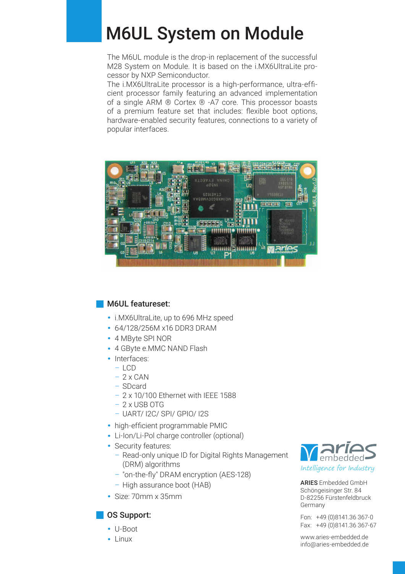# M6UL System on Module

The M6UL module is the drop-in replacement of the successful M28 System on Module. It is based on the i.MX6UltraLite processor by NXP Semiconductor.

The i.MX6UltraLite processor is a high-performance, ultra-efficient processor family featuring an advanced implementation of a single ARM ® Cortex ® -A7 core. This processor boasts of a premium feature set that includes: flexible boot options, hardware-enabled security features, connections to a variety of popular interfaces.



### **M6UL featureset:**

- **·** i.MX6UltraLite, up to 696 MHz speed
- **·** 64/128/256M x16 DDR3 DRAM
- **·** 4 MByte SPI NOR
- **·** 4 GByte e.MMC NAND Flash
- **·** Interfaces:
	- $-$  LCD
	- $-2$  x CAN
	- SDcard
	- 2 x 10/100 Ethernet with IEEE 1588
	- 2 x USB OTG
	- UART/ I2C/ SPI/ GPIO/ I2S
- high-efficient programmable PMIC
- **·** Li-Ion/Li-Pol charge controller (optional)
- **·** Security features:
	- Read-only unique ID for Digital Rights Management (DRM) algorithms
	- "on-the-fly" DRAM encryption (AES-128)
	- High assurance boot (HAB)
- **·** Size: 70mm x 35mm

### **OS Support:**

- **·** U-Boot
- **·** Linux



ARIES Embedded GmbH Schöngeisinger Str. 84 D-82256 Fürstenfeldbruck Germany

Fon: +49 (0)8141.36 367-0 Fax: +49 (0)8141.36 367-67

www.aries-embedded.de info@aries-embedded.de